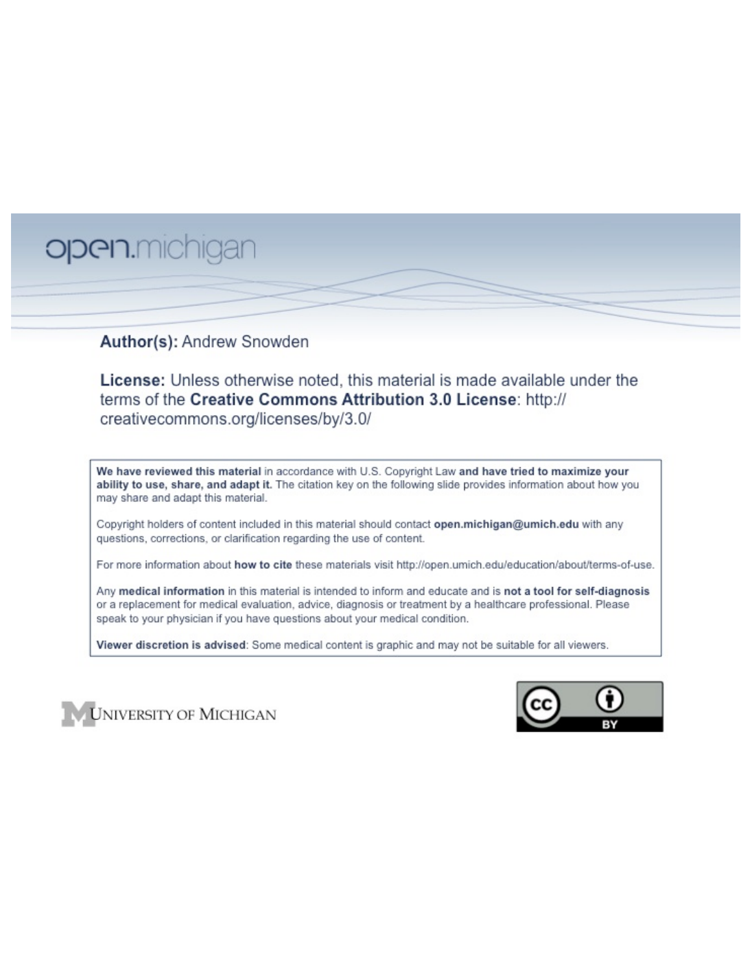# open.michigan

## Author(s): Andrew Snowden

License: Unless otherwise noted, this material is made available under the terms of the Creative Commons Attribution 3.0 License: http:// creativecommons.org/licenses/by/3.0/

We have reviewed this material in accordance with U.S. Copyright Law and have tried to maximize your ability to use, share, and adapt it. The citation key on the following slide provides information about how you may share and adapt this material.

Copyright holders of content included in this material should contact open.michigan@umich.edu with any questions, corrections, or clarification regarding the use of content.

For more information about how to cite these materials visit http://open.umich.edu/education/about/terms-of-use.

Any medical information in this material is intended to inform and educate and is not a tool for self-diagnosis or a replacement for medical evaluation, advice, diagnosis or treatment by a healthcare professional. Please speak to your physician if you have questions about your medical condition.

Viewer discretion is advised: Some medical content is graphic and may not be suitable for all viewers.



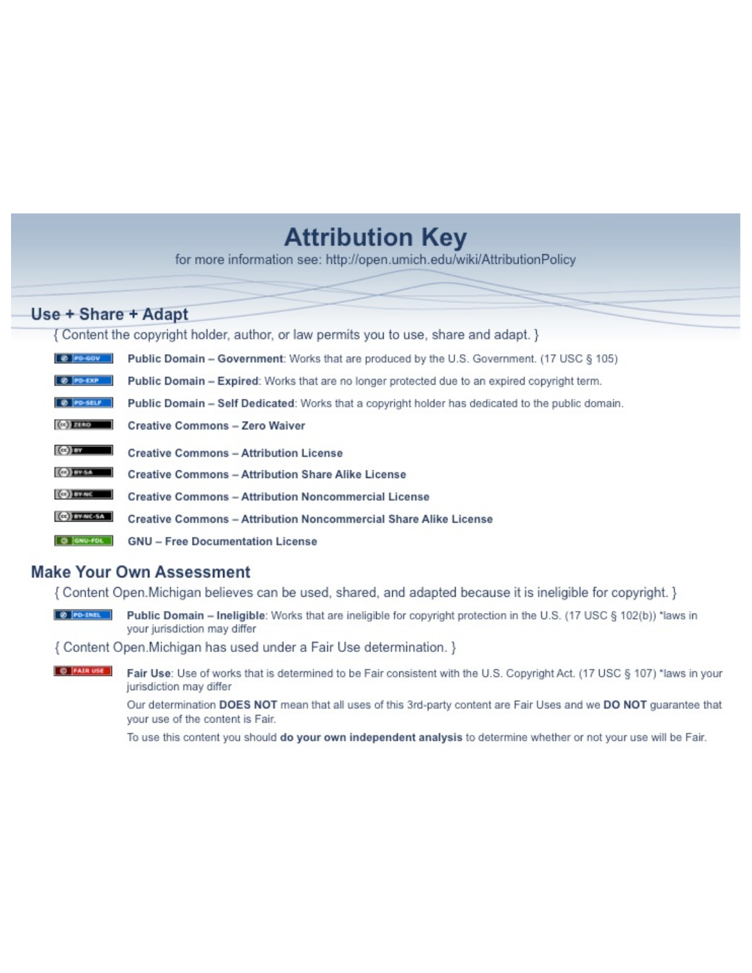## **Attribution Key**

for more information see: http://open.umich.edu/wiki/AttributionPolicy

## Use + Share + Adapt

{ Content the copyright holder, author, or law permits you to use, share and adapt. }

| @ PD-GOV                  | <b>Public Domain - Government:</b> Works that are produced by the U.S. Government. (17 USC § 105) |
|---------------------------|---------------------------------------------------------------------------------------------------|
| @ PD-EXP                  | Public Domain - Expired: Works that are no longer protected due to an expired copyright term.     |
| @ PO-SELF                 | Public Domain - Self Dedicated: Works that a copyright holder has dedicated to the public domain. |
| $(c2)$ 21110              | <b>Creative Commons - Zero Waiver</b>                                                             |
| $\left($ ce) $\right)$ my | <b>Creative Commons - Attribution License</b>                                                     |
| <b>CO</b> ITY-SA          | <b>Creative Commons - Attribution Share Alike License</b>                                         |
| <b>CO</b> BY-NC           | <b>Creative Commons - Attribution Noncommercial License</b>                                       |
| <b>CO</b> BY-NC-SA        | Creative Commons - Attribution Noncommercial Share Alike License                                  |
| GNU-FOL                   | <b>GNU - Free Documentation License</b>                                                           |

## **Make Your Own Assessment**

{ Content Open. Michigan believes can be used, shared, and adapted because it is ineligible for copyright. }

Public Domain - Ineligible: Works that are ineligible for copyright protection in the U.S. (17 USC § 102(b)) \*laws in your jurisdiction may differ

{ Content Open. Michigan has used under a Fair Use determination. }

**O** FAIR USE Fair Use: Use of works that is determined to be Fair consistent with the U.S. Copyright Act. (17 USC § 107) \*laws in your jurisdiction may differ

> Our determination DOES NOT mean that all uses of this 3rd-party content are Fair Uses and we DO NOT guarantee that your use of the content is Fair.

To use this content you should do your own independent analysis to determine whether or not your use will be Fair.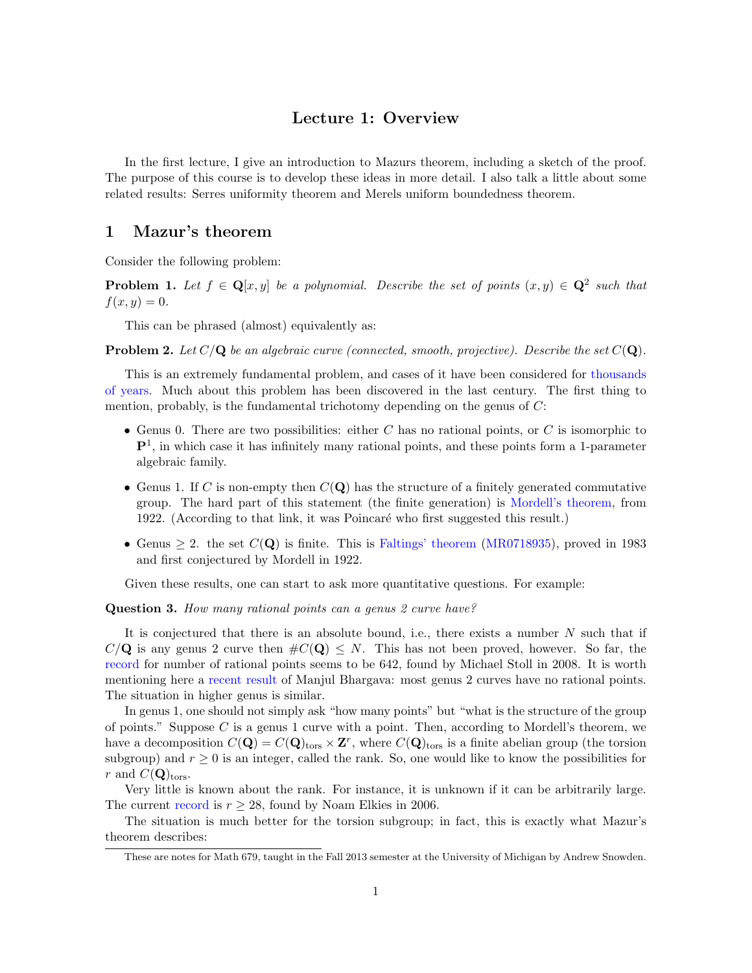## Lecture 1: Overview

In the first lecture, I give an introduction to Mazurs theorem, including a sketch of the proof. The purpose of this course is to develop these ideas in more detail. I also talk a little about some related results: Serres uniformity theorem and Merels uniform boundedness theorem.

## 1 Mazur's theorem

Consider the following problem:

**Problem 1.** Let  $f \in \mathbf{Q}[x, y]$  be a polynomial. Describe the set of points  $(x, y) \in \mathbf{Q}^2$  such that  $f(x, y) = 0.$ 

This can be phrased (almost) equivalently as:

**Problem 2.** Let  $C/Q$  be an algebraic curve (connected, smooth, projective). Describe the set  $C(Q)$ .

This is an extremely fundamental problem, and cases of it have been considered for thousands of years. Much about this problem has been discovered in the last century. The first thing to mention, probably, is the fundamental trichotomy depending on the genus of *C*:

- *•* Genus 0. There are two possibilities: either *C* has no rational points, or *C* is isomorphic to  $\mathbf{P}^1$ , in which case it has infinitely many rational points, and these points form a 1-parameter algebraic family.
- Genus 1. If *C* is non-empty then  $C(Q)$  has the structure of a finitely generated commutative group. The hard part of this statement (the finite generation) is Mordell's theorem, from 1922. (According to that link, it was Poincaré who first suggested this result.)
- Genus  $> 2$ . the set  $C(Q)$  is finite. This is Faltings' theorem (MR0718935), proved in 1983 and first conjectured by Mordell in 1922.

Given these results, one can start to ask more quantitative questions. For example:

Question 3. *How many rational points can a genus 2 curve have?*

It is conjectured that there is an absolute bound, i.e., there exists a number *N* such that if  $C/Q$  is any genus 2 curve then  $\#C(Q) \leq N$ . This has not been proved, however. So far, the record for number of rational points seems to be 642, found by Michael Stoll in 2008. It is worth mentioning here a recent result of Manjul Bhargava: most genus 2 curves have no rational points. The situation in higher genus is similar.

In genus 1, one should not simply ask "how many points" but "what is the structure of the group of points." Suppose *C* is a genus 1 curve with a point. Then, according to Mordell's theorem, we have a decomposition  $C(\mathbf{Q}) = C(\mathbf{Q})_{\text{tors}} \times \mathbf{Z}^r$ , where  $C(\mathbf{Q})_{\text{tors}}$  is a finite abelian group (the torsion subgroup) and  $r \geq 0$  is an integer, called the rank. So, one would like to know the possibilities for *r* and  $C(Q)_{\text{tors}}$ .

Very little is known about the rank. For instance, it is unknown if it can be arbitrarily large. The current record is  $r \geq 28$ , found by Noam Elkies in 2006.

The situation is much better for the torsion subgroup; in fact, this is exactly what Mazur's theorem describes:

These are notes for Math 679, taught in the Fall 2013 semester at the University of Michigan by Andrew Snowden.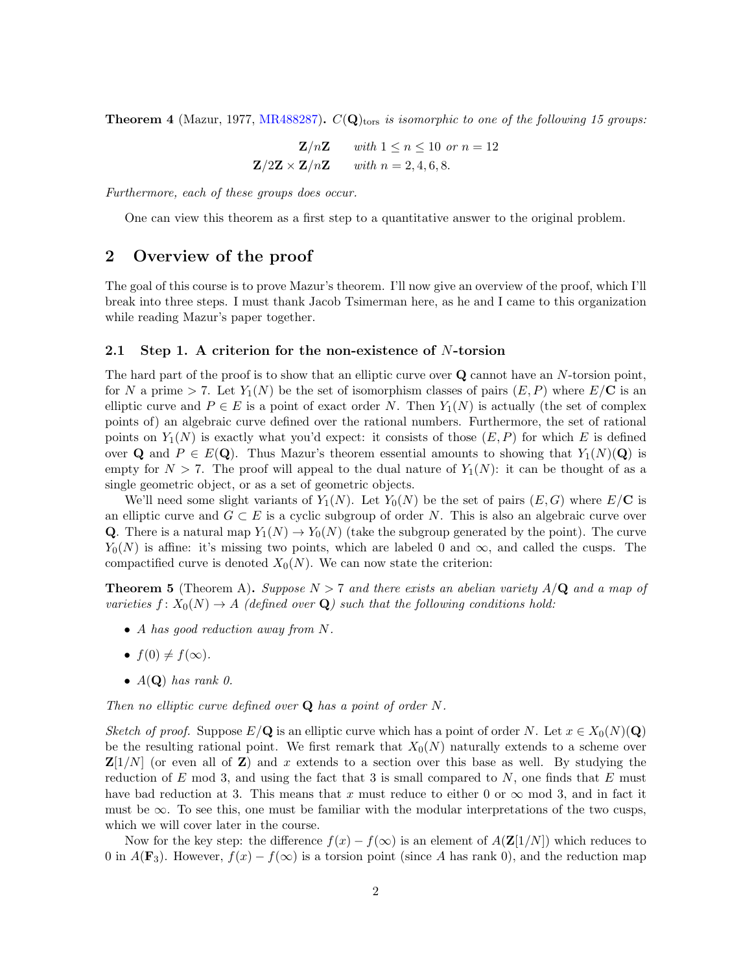**Theorem 4** (Mazur, 1977, MR488287).  $C(Q)_{\text{tors}}$  *is isomorphic to one of the following 15 groups:* 

$$
\mathbf{Z}/n\mathbf{Z} \quad \text{with } 1 \le n \le 10 \text{ or } n = 12
$$

$$
\mathbf{Z}/2\mathbf{Z} \times \mathbf{Z}/n\mathbf{Z} \quad \text{with } n = 2, 4, 6, 8.
$$

*Furthermore, each of these groups does occur.*

One can view this theorem as a first step to a quantitative answer to the original problem.

## 2 Overview of the proof

The goal of this course is to prove Mazur's theorem. I'll now give an overview of the proof, which I'll break into three steps. I must thank Jacob Tsimerman here, as he and I came to this organization while reading Mazur's paper together.

#### 2.1 Step 1. A criterion for the non-existence of *N*-torsion

The hard part of the proof is to show that an elliptic curve over Q cannot have an *N*-torsion point, for *N* a prime  $>$  7. Let  $Y_1(N)$  be the set of isomorphism classes of pairs  $(E, P)$  where  $E/C$  is an elliptic curve and  $P \in E$  is a point of exact order *N*. Then  $Y_1(N)$  is actually (the set of complex points of) an algebraic curve defined over the rational numbers. Furthermore, the set of rational points on  $Y_1(N)$  is exactly what you'd expect: it consists of those  $(E, P)$  for which *E* is defined over **Q** and  $P \in E(\mathbf{Q})$ . Thus Mazur's theorem essential amounts to showing that  $Y_1(N)(\mathbf{Q})$  is empty for  $N > 7$ . The proof will appeal to the dual nature of  $Y_1(N)$ : it can be thought of as a single geometric object, or as a set of geometric objects.

We'll need some slight variants of  $Y_1(N)$ . Let  $Y_0(N)$  be the set of pairs  $(E, G)$  where  $E/C$  is an elliptic curve and  $G \subset E$  is a cyclic subgroup of order N. This is also an algebraic curve over **Q**. There is a natural map  $Y_1(N) \to Y_0(N)$  (take the subgroup generated by the point). The curve  $Y_0(N)$  is affine: it's missing two points, which are labeled 0 and  $\infty$ , and called the cusps. The compactified curve is denoted  $X_0(N)$ . We can now state the criterion:

**Theorem 5** (Theorem A). *Suppose*  $N > 7$  *and there exists an abelian variety*  $A/Q$  *and a map of varieties*  $f: X_0(N) \to A$  (defined over **Q**) such that the following conditions hold:

- *• A has good reduction away from N.*
- $f(0) \neq f(\infty)$ .
- $A(\mathbf{Q})$  *has rank 0.*

*Then no elliptic curve defined over* Q *has a point of order N.*

*Sketch of proof.* Suppose  $E/\mathbf{Q}$  is an elliptic curve which has a point of order N. Let  $x \in X_0(N)(\mathbf{Q})$ be the resulting rational point. We first remark that  $X_0(N)$  naturally extends to a scheme over  $\mathbf{Z}[1/N]$  (or even all of  $\mathbf{Z}$ ) and x extends to a section over this base as well. By studying the reduction of *E* mod 3, and using the fact that 3 is small compared to *N*, one finds that *E* must have bad reduction at 3. This means that x must reduce to either 0 or  $\infty$  mod 3, and in fact it must be  $\infty$ . To see this, one must be familiar with the modular interpretations of the two cusps, which we will cover later in the course.

Now for the key step: the difference  $f(x) - f(\infty)$  is an element of  $A(\mathbf{Z}[1/N])$  which reduces to 0 in  $A(\mathbf{F}_3)$ . However,  $f(x) - f(\infty)$  is a torsion point (since A has rank 0), and the reduction map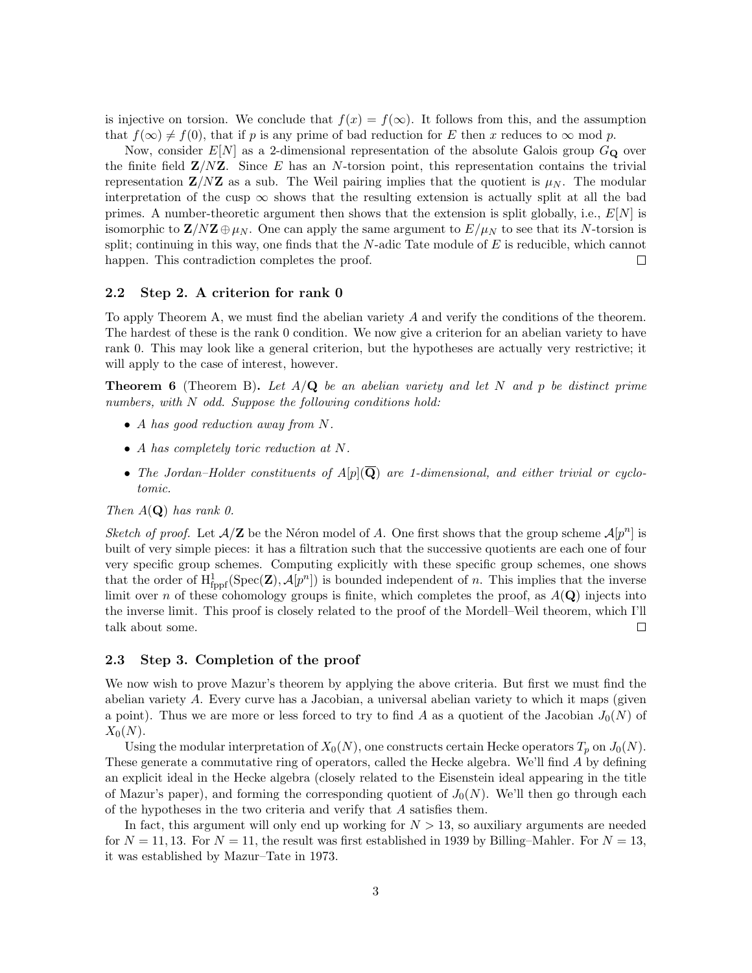is injective on torsion. We conclude that  $f(x) = f(\infty)$ . It follows from this, and the assumption that  $f(\infty) \neq f(0)$ , that if *p* is any prime of bad reduction for *E* then *x* reduces to  $\infty$  mod *p*.

Now, consider  $E[N]$  as a 2-dimensional representation of the absolute Galois group  $G_{\mathbf{Q}}$  over the finite field Z*/N*Z. Since *E* has an *N*-torsion point, this representation contains the trivial representation  $\mathbf{Z}/N\mathbf{Z}$  as a sub. The Weil pairing implies that the quotient is  $\mu_N$ . The modular interpretation of the cusp  $\infty$  shows that the resulting extension is actually split at all the bad primes. A number-theoretic argument then shows that the extension is split globally, i.e., *E*[*N*] is isomorphic to  $\mathbf{Z}/N\mathbf{Z} \oplus \mu_N$ . One can apply the same argument to  $E/\mu_N$  to see that its *N*-torsion is split; continuing in this way, one finds that the *N*-adic Tate module of *E* is reducible, which cannot happen. This contradiction completes the proof.  $\Box$ 

#### 2.2 Step 2. A criterion for rank 0

To apply Theorem A, we must find the abelian variety *A* and verify the conditions of the theorem. The hardest of these is the rank 0 condition. We now give a criterion for an abelian variety to have rank 0. This may look like a general criterion, but the hypotheses are actually very restrictive; it will apply to the case of interest, however.

Theorem 6 (Theorem B). *Let A/*Q *be an abelian variety and let N and p be distinct prime numbers, with N odd. Suppose the following conditions hold:*

- *• A has good reduction away from N.*
- *• A has completely toric reduction at N.*
- The Jordan–Holder constituents of  $A[p](\overline{Q})$  are 1-dimensional, and either trivial or cyclo*tomic.*

#### *Then*  $A(Q)$  *has rank 0.*

*Sketch of proof.* Let  $A/Z$  be the Néron model of *A*. One first shows that the group scheme  $A[p^n]$  is built of very simple pieces: it has a filtration such that the successive quotients are each one of four very specific group schemes. Computing explicitly with these specific group schemes, one shows that the order of  $H^1_{\text{fppf}}(\text{Spec}(\mathbf{Z}), \mathcal{A}[p^n])$  is bounded independent of *n*. This implies that the inverse limit over *n* of these cohomology groups is finite, which completes the proof, as  $A(\mathbf{Q})$  injects into the inverse limit. This proof is closely related to the proof of the Mordell–Weil theorem, which I'll talk about some.  $\Box$ 

#### 2.3 Step 3. Completion of the proof

We now wish to prove Mazur's theorem by applying the above criteria. But first we must find the abelian variety *A*. Every curve has a Jacobian, a universal abelian variety to which it maps (given a point). Thus we are more or less forced to try to find A as a quotient of the Jacobian  $J_0(N)$  of  $X_0(N)$ .

Using the modular interpretation of  $X_0(N)$ , one constructs certain Hecke operators  $T_p$  on  $J_0(N)$ . These generate a commutative ring of operators, called the Hecke algebra. We'll find *A* by defining an explicit ideal in the Hecke algebra (closely related to the Eisenstein ideal appearing in the title of Mazur's paper), and forming the corresponding quotient of  $J_0(N)$ . We'll then go through each of the hypotheses in the two criteria and verify that *A* satisfies them.

In fact, this argument will only end up working for  $N > 13$ , so auxiliary arguments are needed for  $N = 11, 13$ . For  $N = 11$ , the result was first established in 1939 by Billing–Mahler. For  $N = 13$ , it was established by Mazur–Tate in 1973.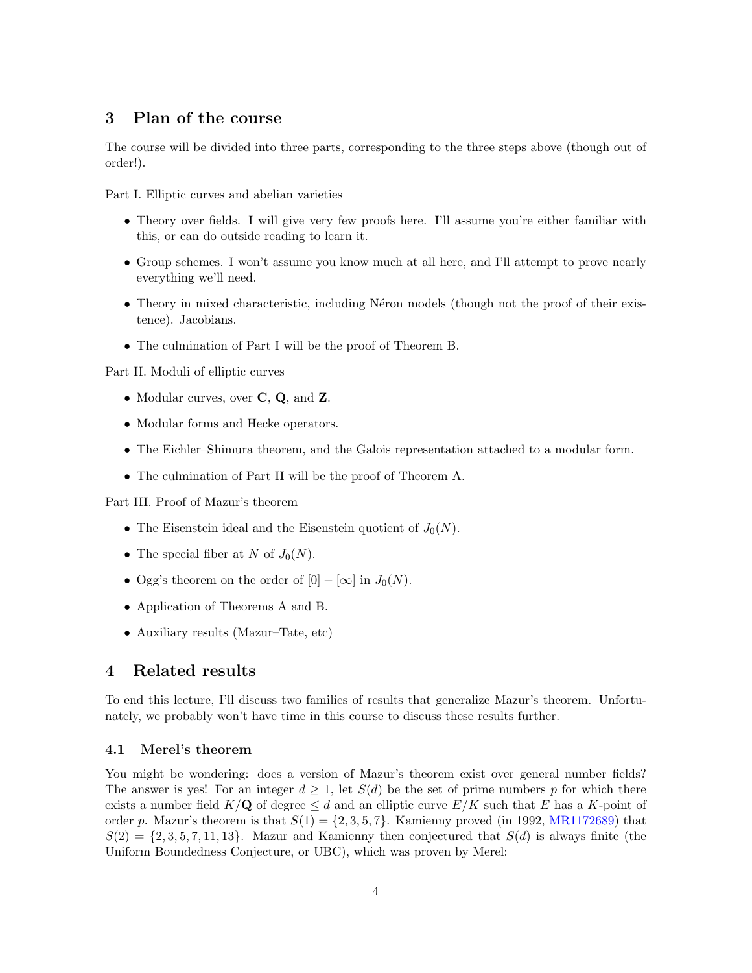## 3 Plan of the course

The course will be divided into three parts, corresponding to the three steps above (though out of order!).

Part I. Elliptic curves and abelian varieties

- Theory over fields. I will give very few proofs here. I'll assume you're either familiar with this, or can do outside reading to learn it.
- Group schemes. I won't assume you know much at all here, and I'll attempt to prove nearly everything we'll need.
- Theory in mixed characteristic, including Néron models (though not the proof of their existence). Jacobians.
- *•* The culmination of Part I will be the proof of Theorem B.

Part II. Moduli of elliptic curves

- Modular curves, over **C**, **Q**, and **Z**.
- *•* Modular forms and Hecke operators.
- The Eichler–Shimura theorem, and the Galois representation attached to a modular form.
- *•* The culmination of Part II will be the proof of Theorem A.

Part III. Proof of Mazur's theorem

- The Eisenstein ideal and the Eisenstein quotient of  $J_0(N)$ .
- The special fiber at *N* of  $J_0(N)$ .
- Ogg's theorem on the order of  $[0] [\infty]$  in  $J_0(N)$ .
- *•* Application of Theorems A and B.
- Auxiliary results (Mazur–Tate, etc)

#### 4 Related results

To end this lecture, I'll discuss two families of results that generalize Mazur's theorem. Unfortunately, we probably won't have time in this course to discuss these results further.

#### 4.1 Merel's theorem

You might be wondering: does a version of Mazur's theorem exist over general number fields? The answer is yes! For an integer  $d \geq 1$ , let  $S(d)$  be the set of prime numbers p for which there exists a number field  $K/Q$  of degree  $\leq d$  and an elliptic curve  $E/K$  such that E has a K-point of order p. Mazur's theorem is that  $S(1) = \{2, 3, 5, 7\}$ . Kamienny proved (in 1992, MR1172689) that  $S(2) = \{2, 3, 5, 7, 11, 13\}$ . Mazur and Kamienny then conjectured that  $S(d)$  is always finite (the Uniform Boundedness Conjecture, or UBC), which was proven by Merel: